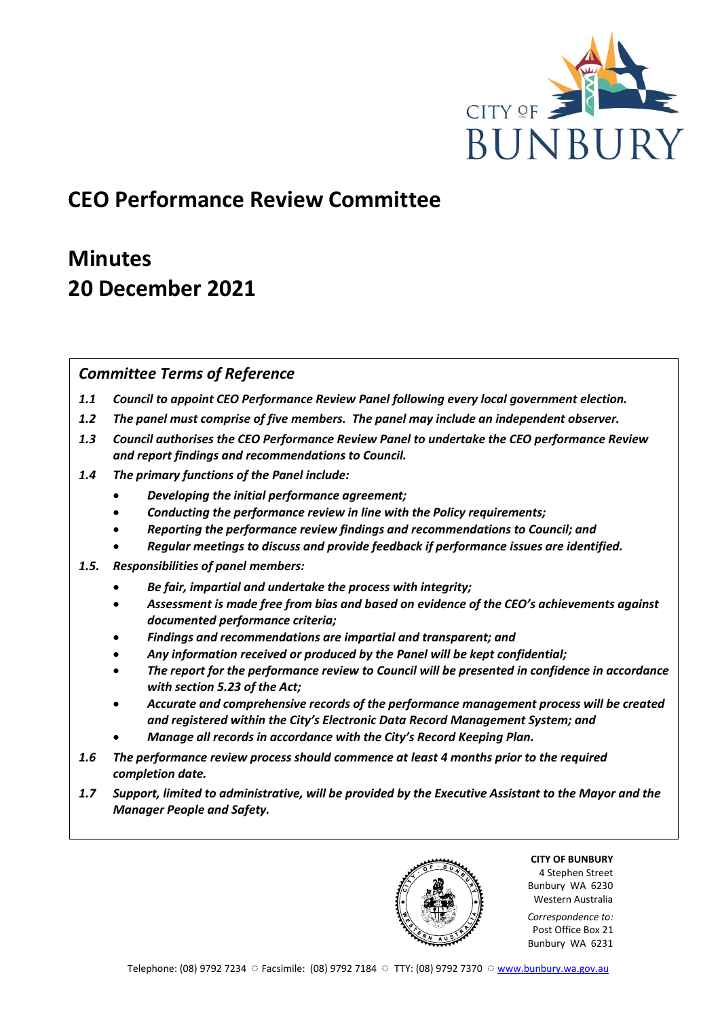

## **CEO Performance Review Committee**

# **Minutes 20 December 2021**

## *Committee Terms of Reference*

- *1.1 Council to appoint CEO Performance Review Panel following every local government election.*
- *1.2 The panel must comprise of five members. The panel may include an independent observer.*
- *1.3 Council authorises the CEO Performance Review Panel to undertake the CEO performance Review and report findings and recommendations to Council.*
- *1.4 The primary functions of the Panel include:*
	- *Developing the initial performance agreement;*
	- *Conducting the performance review in line with the Policy requirements;*
	- *Reporting the performance review findings and recommendations to Council; and*
	- *Regular meetings to discuss and provide feedback if performance issues are identified.*
- *1.5. Responsibilities of panel members:*
	- *Be fair, impartial and undertake the process with integrity;*
	- *Assessment is made free from bias and based on evidence of the CEO's achievements against documented performance criteria;*
	- *Findings and recommendations are impartial and transparent; and*
	- *Any information received or produced by the Panel will be kept confidential;*
	- *The report for the performance review to Council will be presented in confidence in accordance with section 5.23 of the Act;*
	- *Accurate and comprehensive records of the performance management process will be created and registered within the City's Electronic Data Record Management System; and*
	- *Manage all records in accordance with the City's Record Keeping Plan.*
- *1.6 The performance review process should commence at least 4 months prior to the required completion date.*
- *1.7 Support, limited to administrative, will be provided by the Executive Assistant to the Mayor and the Manager People and Safety.*

**CITY OF BUNBURY** 4 Stephen Street Bunbury WA 6230 Western Australia

*Correspondence to:* Post Office Box 21 Bunbury WA 6231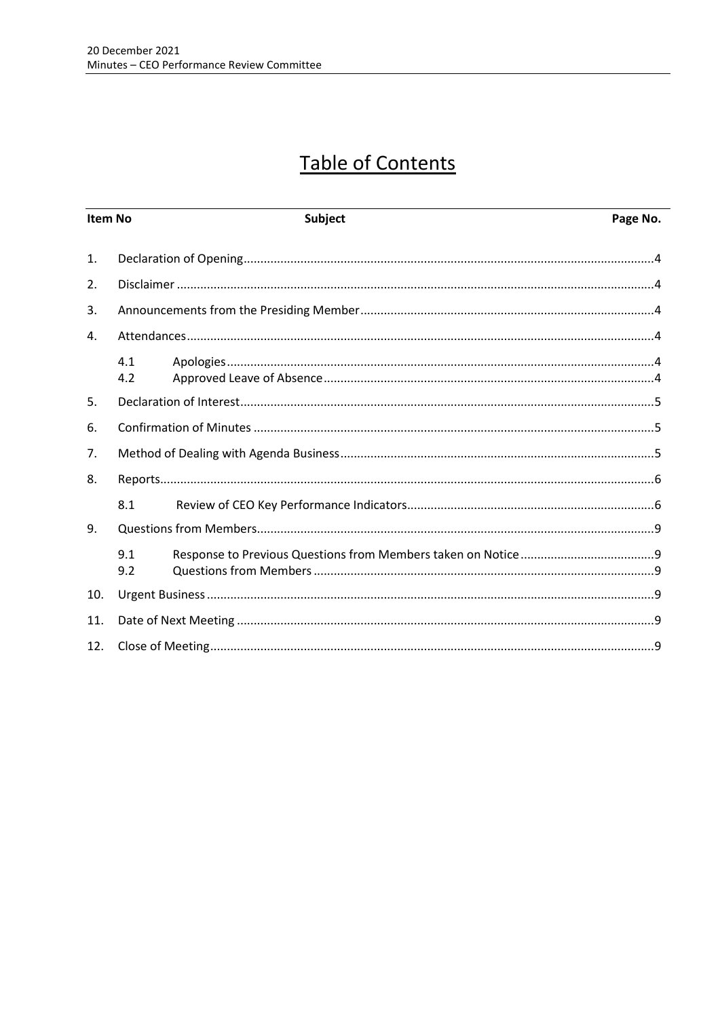# **Table of Contents**

| <b>Item No</b> |            | <b>Subject</b> | Page No. |
|----------------|------------|----------------|----------|
| 1.             |            |                |          |
| 2.             |            |                |          |
| 3.             |            |                |          |
| 4.             |            |                |          |
|                | 4.1<br>4.2 |                |          |
| 5.             |            |                |          |
| 6.             |            |                |          |
| 7.             |            |                |          |
| 8.             |            |                |          |
|                | 8.1        |                |          |
| 9.             |            |                |          |
|                | 9.1<br>9.2 |                |          |
| 10.            |            |                |          |
| 11.            |            |                |          |
| 12.            |            |                |          |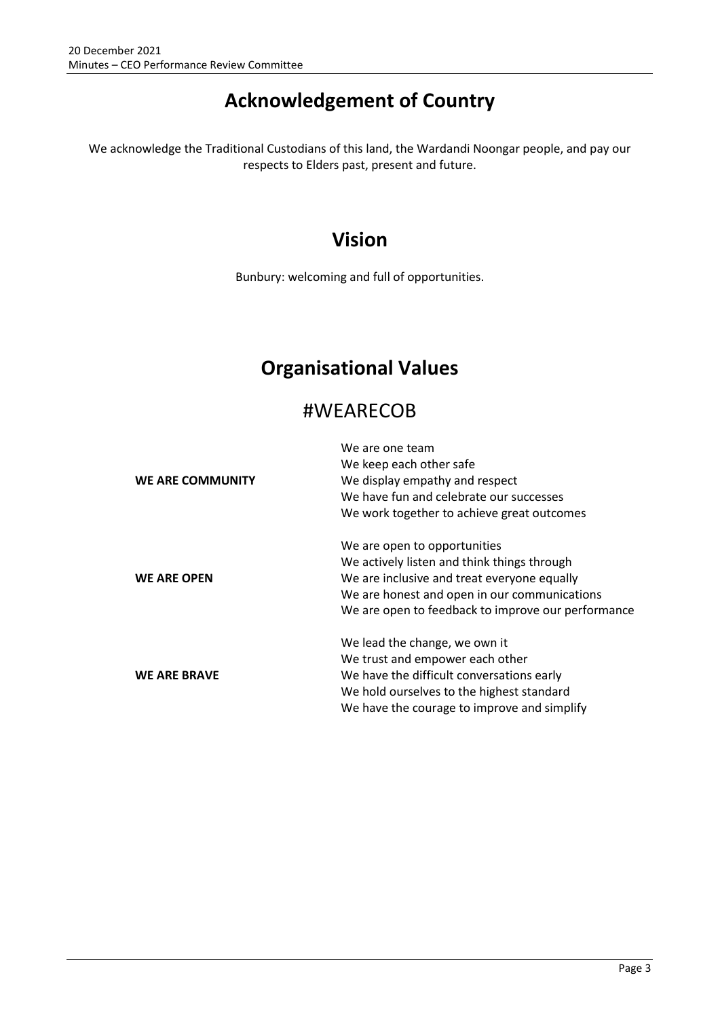# **Acknowledgement of Country**

We acknowledge the Traditional Custodians of this land, the Wardandi Noongar people, and pay our respects to Elders past, present and future.

## **Vision**

Bunbury: welcoming and full of opportunities.

## **Organisational Values**

## #WEARECOB

|                         | We are one team                                    |  |  |
|-------------------------|----------------------------------------------------|--|--|
|                         | We keep each other safe                            |  |  |
| <b>WE ARE COMMUNITY</b> | We display empathy and respect                     |  |  |
|                         | We have fun and celebrate our successes            |  |  |
|                         | We work together to achieve great outcomes         |  |  |
|                         | We are open to opportunities                       |  |  |
|                         | We actively listen and think things through        |  |  |
| <b>WE ARE OPEN</b>      | We are inclusive and treat everyone equally        |  |  |
|                         | We are honest and open in our communications       |  |  |
|                         | We are open to feedback to improve our performance |  |  |
|                         | We lead the change, we own it                      |  |  |
|                         | We trust and empower each other                    |  |  |
| <b>WE ARE BRAVE</b>     | We have the difficult conversations early          |  |  |
|                         | We hold ourselves to the highest standard          |  |  |
|                         | We have the courage to improve and simplify        |  |  |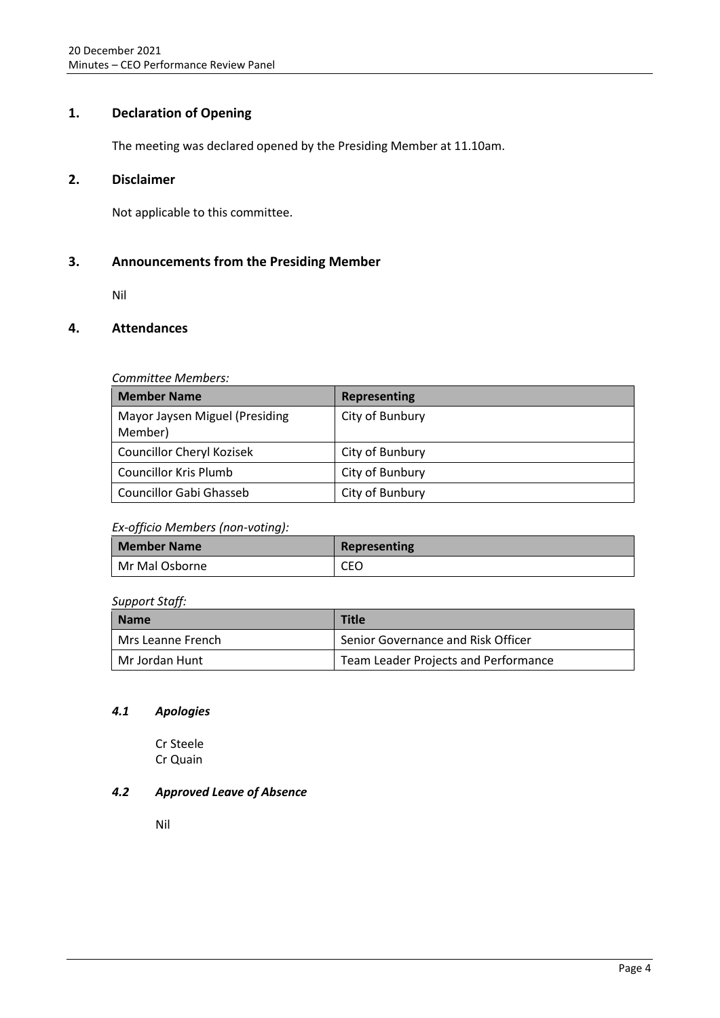## <span id="page-3-0"></span>**1. Declaration of Opening**

The meeting was declared opened by the Presiding Member at 11.10am.

## <span id="page-3-1"></span>**2. Disclaimer**

Not applicable to this committee.

## <span id="page-3-2"></span>**3. Announcements from the Presiding Member**

Nil

## <span id="page-3-3"></span>**4. Attendances**

## *Committee Members:*

| <b>Member Name</b>                        | <b>Representing</b> |
|-------------------------------------------|---------------------|
| Mayor Jaysen Miguel (Presiding<br>Member) | City of Bunbury     |
| <b>Councillor Cheryl Kozisek</b>          | City of Bunbury     |
| <b>Councillor Kris Plumb</b>              | City of Bunbury     |
| Councillor Gabi Ghasseb                   | City of Bunbury     |

## *Ex-officio Members (non-voting):*

| <b>Member Name</b> | Representing |
|--------------------|--------------|
| Mr Mal Osborne     | CEO          |

## *Support Staff:*

| <b>Name</b>       | Title                                |  |
|-------------------|--------------------------------------|--|
| Mrs Leanne French | Senior Governance and Risk Officer   |  |
| Mr Jordan Hunt    | Team Leader Projects and Performance |  |

## <span id="page-3-4"></span>*4.1 Apologies*

Cr Steele Cr Quain

## <span id="page-3-5"></span>*4.2 Approved Leave of Absence*

Nil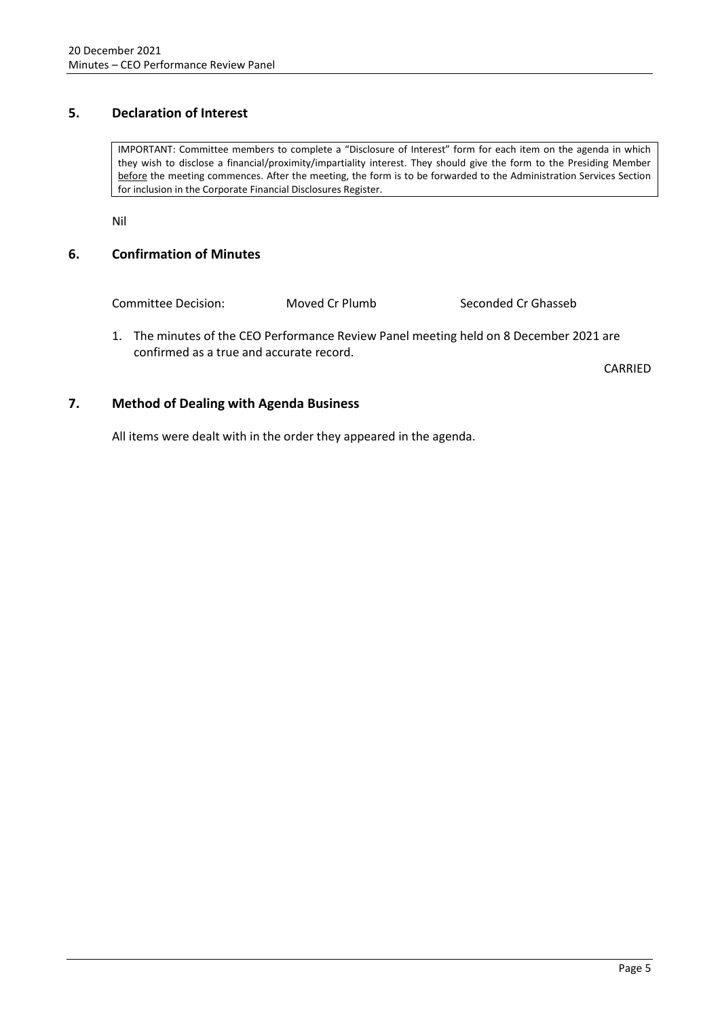## <span id="page-4-0"></span>**5. Declaration of Interest**

IMPORTANT: Committee members to complete a "Disclosure of Interest" form for each item on the agenda in which they wish to disclose a financial/proximity/impartiality interest. They should give the form to the Presiding Member before the meeting commences. After the meeting, the form is to be forwarded to the Administration Services Section for inclusion in the Corporate Financial Disclosures Register.

Nil

## <span id="page-4-1"></span>**6. Confirmation of Minutes**

Committee Decision: Moved Cr Plumb Seconded Cr Ghasseb

1. The minutes of the CEO Performance Review Panel meeting held on 8 December 2021 are confirmed as a true and accurate record.

CARRIED

## <span id="page-4-2"></span>**7. Method of Dealing with Agenda Business**

All items were dealt with in the order they appeared in the agenda.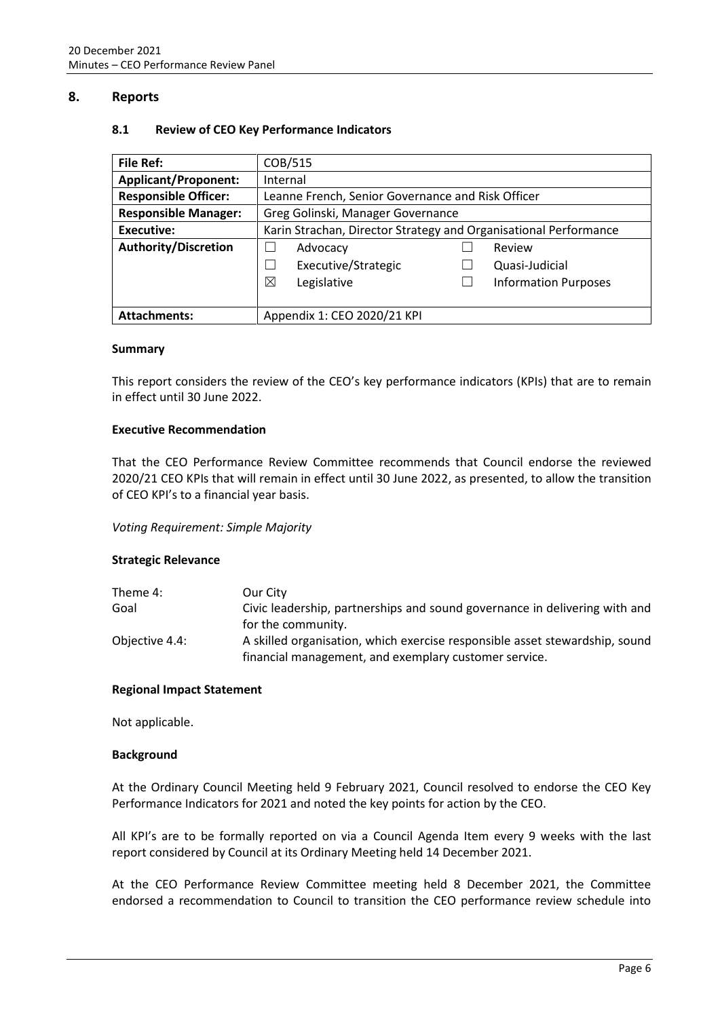## <span id="page-5-1"></span><span id="page-5-0"></span>**8. Reports**

## **8.1 Review of CEO Key Performance Indicators**

| <b>File Ref:</b>            | COB/515                                                          |  |                             |
|-----------------------------|------------------------------------------------------------------|--|-----------------------------|
| <b>Applicant/Proponent:</b> | Internal                                                         |  |                             |
| <b>Responsible Officer:</b> | Leanne French, Senior Governance and Risk Officer                |  |                             |
| <b>Responsible Manager:</b> | Greg Golinski, Manager Governance                                |  |                             |
| Executive:                  | Karin Strachan, Director Strategy and Organisational Performance |  |                             |
| <b>Authority/Discretion</b> | Advocacy                                                         |  | Review                      |
|                             | Executive/Strategic                                              |  | Quasi-Judicial              |
|                             | ⊠<br>Legislative                                                 |  | <b>Information Purposes</b> |
|                             |                                                                  |  |                             |
| <b>Attachments:</b>         | Appendix 1: CEO 2020/21 KPI                                      |  |                             |

### **Summary**

This report considers the review of the CEO's key performance indicators (KPIs) that are to remain in effect until 30 June 2022.

### **Executive Recommendation**

That the CEO Performance Review Committee recommends that Council endorse the reviewed 2020/21 CEO KPIs that will remain in effect until 30 June 2022, as presented, to allow the transition of CEO KPI's to a financial year basis.

## *Voting Requirement: Simple Majority*

### **Strategic Relevance**

| Theme 4:       | Our City                                                                    |
|----------------|-----------------------------------------------------------------------------|
| Goal           | Civic leadership, partnerships and sound governance in delivering with and  |
|                | for the community.                                                          |
| Objective 4.4: | A skilled organisation, which exercise responsible asset stewardship, sound |
|                | financial management, and exemplary customer service.                       |

### **Regional Impact Statement**

Not applicable.

### **Background**

At the Ordinary Council Meeting held 9 February 2021, Council resolved to endorse the CEO Key Performance Indicators for 2021 and noted the key points for action by the CEO.

All KPI's are to be formally reported on via a Council Agenda Item every 9 weeks with the last report considered by Council at its Ordinary Meeting held 14 December 2021.

At the CEO Performance Review Committee meeting held 8 December 2021, the Committee endorsed a recommendation to Council to transition the CEO performance review schedule into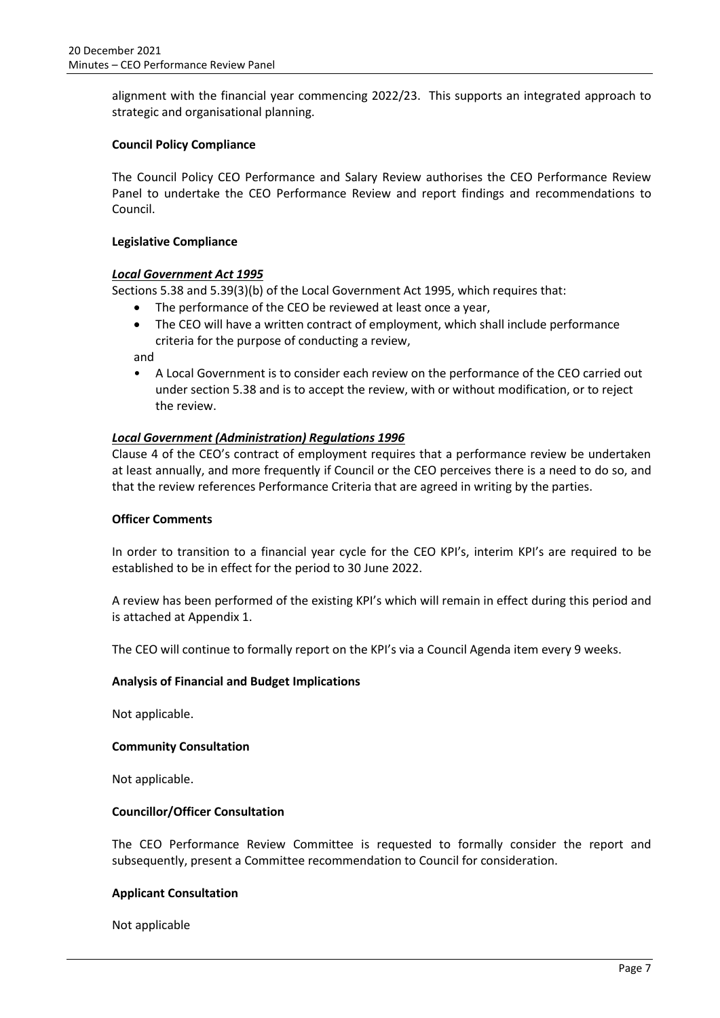alignment with the financial year commencing 2022/23. This supports an integrated approach to strategic and organisational planning.

## **Council Policy Compliance**

The Council Policy CEO Performance and Salary Review authorises the CEO Performance Review Panel to undertake the CEO Performance Review and report findings and recommendations to Council.

## **Legislative Compliance**

## *Local Government Act 1995*

Sections 5.38 and 5.39(3)(b) of the Local Government Act 1995, which requires that:

- The performance of the CEO be reviewed at least once a year,
- The CEO will have a written contract of employment, which shall include performance criteria for the purpose of conducting a review,

and

• A Local Government is to consider each review on the performance of the CEO carried out under section 5.38 and is to accept the review, with or without modification, or to reject the review.

## *Local Government (Administration) Regulations 1996*

Clause 4 of the CEO's contract of employment requires that a performance review be undertaken at least annually, and more frequently if Council or the CEO perceives there is a need to do so, and that the review references Performance Criteria that are agreed in writing by the parties.

## **Officer Comments**

In order to transition to a financial year cycle for the CEO KPI's, interim KPI's are required to be established to be in effect for the period to 30 June 2022.

A review has been performed of the existing KPI's which will remain in effect during this period and is attached at Appendix 1.

The CEO will continue to formally report on the KPI's via a Council Agenda item every 9 weeks.

## **Analysis of Financial and Budget Implications**

Not applicable.

## **Community Consultation**

Not applicable.

## **Councillor/Officer Consultation**

The CEO Performance Review Committee is requested to formally consider the report and subsequently, present a Committee recommendation to Council for consideration.

## **Applicant Consultation**

Not applicable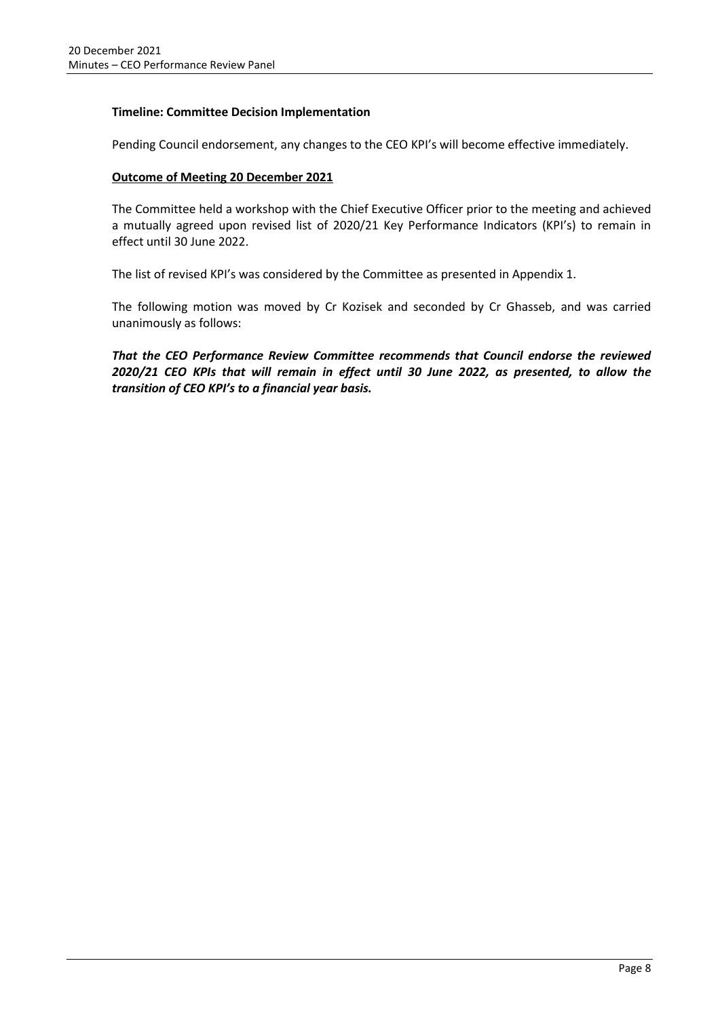## **Timeline: Committee Decision Implementation**

Pending Council endorsement, any changes to the CEO KPI's will become effective immediately.

## **Outcome of Meeting 20 December 2021**

The Committee held a workshop with the Chief Executive Officer prior to the meeting and achieved a mutually agreed upon revised list of 2020/21 Key Performance Indicators (KPI's) to remain in effect until 30 June 2022.

The list of revised KPI's was considered by the Committee as presented in Appendix 1.

The following motion was moved by Cr Kozisek and seconded by Cr Ghasseb, and was carried unanimously as follows:

*That the CEO Performance Review Committee recommends that Council endorse the reviewed 2020/21 CEO KPIs that will remain in effect until 30 June 2022, as presented, to allow the transition of CEO KPI's to a financial year basis.*